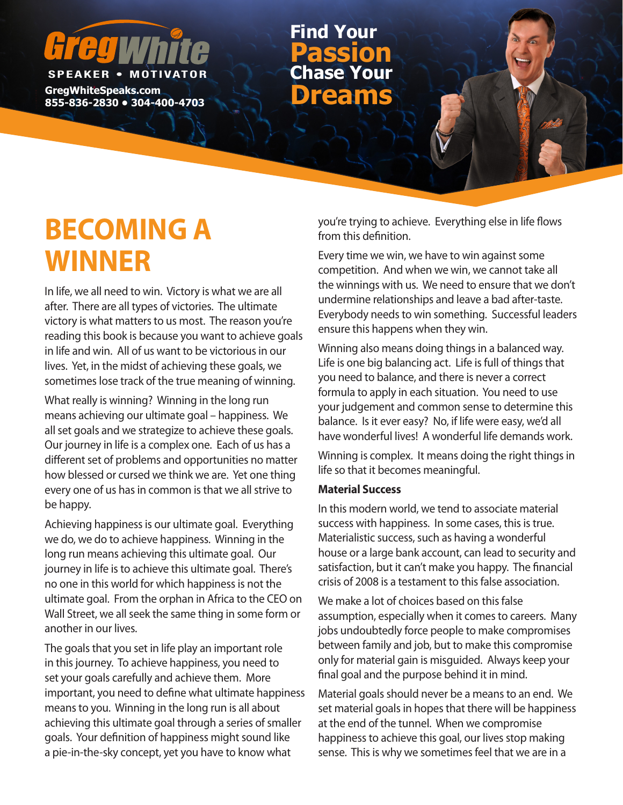# **SPEAKER • MOTIV**

**GregWhiteSpeaks.com**

**855-836-2830 • 304-400-4703 Dreams Chase Your Passion Find Your**

# **BECOMING A WINNER**

In life, we all need to win. Victory is what we are all after. There are all types of victories. The ultimate victory is what matters to us most. The reason you're reading this book is because you want to achieve goals in life and win. All of us want to be victorious in our lives. Yet, in the midst of achieving these goals, we sometimes lose track of the true meaning of winning.

What really is winning? Winning in the long run means achieving our ultimate goal – happiness. We all set goals and we strategize to achieve these goals. Our journey in life is a complex one. Each of us has a different set of problems and opportunities no matter how blessed or cursed we think we are. Yet one thing every one of us has in common is that we all strive to be happy.

Achieving happiness is our ultimate goal. Everything we do, we do to achieve happiness. Winning in the long run means achieving this ultimate goal. Our journey in life is to achieve this ultimate goal. There's no one in this world for which happiness is not the ultimate goal. From the orphan in Africa to the CEO on Wall Street, we all seek the same thing in some form or another in our lives.

The goals that you set in life play an important role in this journey. To achieve happiness, you need to set your goals carefully and achieve them. More important, you need to define what ultimate happiness means to you. Winning in the long run is all about achieving this ultimate goal through a series of smaller goals. Your definition of happiness might sound like a pie-in-the-sky concept, yet you have to know what

you're trying to achieve. Everything else in life flows from this definition.

Every time we win, we have to win against some competition. And when we win, we cannot take all the winnings with us. We need to ensure that we don't undermine relationships and leave a bad after-taste. Everybody needs to win something. Successful leaders ensure this happens when they win.

Winning also means doing things in a balanced way. Life is one big balancing act. Life is full of things that you need to balance, and there is never a correct formula to apply in each situation. You need to use your judgement and common sense to determine this balance. Is it ever easy? No, if life were easy, we'd all have wonderful lives! A wonderful life demands work.

Winning is complex. It means doing the right things in life so that it becomes meaningful.

# **Material Success**

In this modern world, we tend to associate material success with happiness. In some cases, this is true. Materialistic success, such as having a wonderful house or a large bank account, can lead to security and satisfaction, but it can't make you happy. The financial crisis of 2008 is a testament to this false association.

We make a lot of choices based on this false assumption, especially when it comes to careers. Many jobs undoubtedly force people to make compromises between family and job, but to make this compromise only for material gain is misguided. Always keep your final goal and the purpose behind it in mind.

Material goals should never be a means to an end. We set material goals in hopes that there will be happiness at the end of the tunnel. When we compromise happiness to achieve this goal, our lives stop making sense. This is why we sometimes feel that we are in a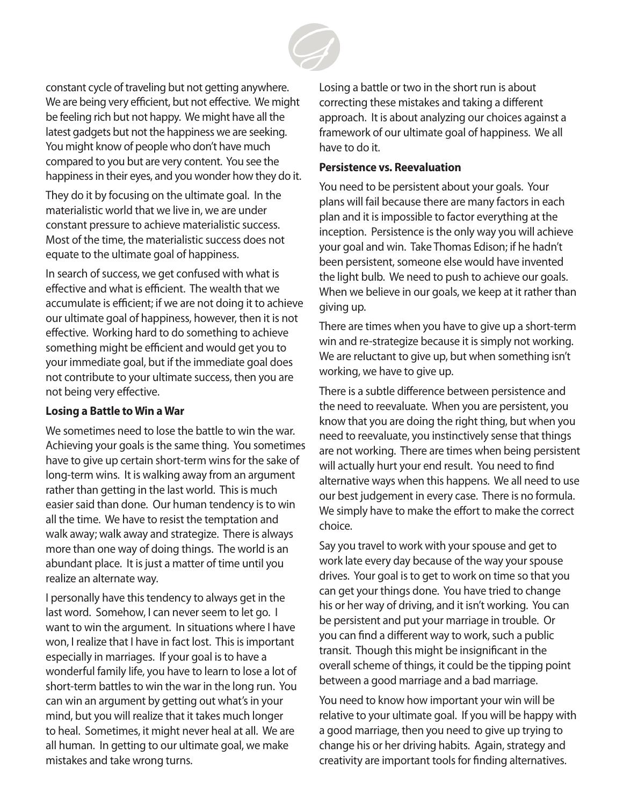

constant cycle of traveling but not getting anywhere. We are being very efficient, but not effective. We might be feeling rich but not happy. We might have all the latest gadgets but not the happiness we are seeking. You might know of people who don't have much compared to you but are very content. You see the happiness in their eyes, and you wonder how they do it.

They do it by focusing on the ultimate goal. In the materialistic world that we live in, we are under constant pressure to achieve materialistic success. Most of the time, the materialistic success does not equate to the ultimate goal of happiness.

In search of success, we get confused with what is effective and what is efficient. The wealth that we accumulate is efficient; if we are not doing it to achieve our ultimate goal of happiness, however, then it is not effective. Working hard to do something to achieve something might be efficient and would get you to your immediate goal, but if the immediate goal does not contribute to your ultimate success, then you are not being very effective.

#### **Losing a Battle to Win a War**

We sometimes need to lose the battle to win the war. Achieving your goals is the same thing. You sometimes have to give up certain short-term wins for the sake of long-term wins. It is walking away from an argument rather than getting in the last world. This is much easier said than done. Our human tendency is to win all the time. We have to resist the temptation and walk away; walk away and strategize. There is always more than one way of doing things. The world is an abundant place. It is just a matter of time until you realize an alternate way.

I personally have this tendency to always get in the last word. Somehow, I can never seem to let go. I want to win the argument. In situations where I have won, I realize that I have in fact lost. This is important especially in marriages. If your goal is to have a wonderful family life, you have to learn to lose a lot of short-term battles to win the war in the long run. You can win an argument by getting out what's in your mind, but you will realize that it takes much longer to heal. Sometimes, it might never heal at all. We are all human. In getting to our ultimate goal, we make mistakes and take wrong turns.

Losing a battle or two in the short run is about correcting these mistakes and taking a different approach. It is about analyzing our choices against a framework of our ultimate goal of happiness. We all have to do it.

#### **Persistence vs. Reevaluation**

You need to be persistent about your goals. Your plans will fail because there are many factors in each plan and it is impossible to factor everything at the inception. Persistence is the only way you will achieve your goal and win. Take Thomas Edison; if he hadn't been persistent, someone else would have invented the light bulb. We need to push to achieve our goals. When we believe in our goals, we keep at it rather than giving up.

There are times when you have to give up a short-term win and re-strategize because it is simply not working. We are reluctant to give up, but when something isn't working, we have to give up.

There is a subtle difference between persistence and the need to reevaluate. When you are persistent, you know that you are doing the right thing, but when you need to reevaluate, you instinctively sense that things are not working. There are times when being persistent will actually hurt your end result. You need to find alternative ways when this happens. We all need to use our best judgement in every case. There is no formula. We simply have to make the effort to make the correct choice.

Say you travel to work with your spouse and get to work late every day because of the way your spouse drives. Your goal is to get to work on time so that you can get your things done. You have tried to change his or her way of driving, and it isn't working. You can be persistent and put your marriage in trouble. Or you can find a different way to work, such a public transit. Though this might be insignificant in the overall scheme of things, it could be the tipping point between a good marriage and a bad marriage.

You need to know how important your win will be relative to your ultimate goal. If you will be happy with a good marriage, then you need to give up trying to change his or her driving habits. Again, strategy and creativity are important tools for finding alternatives.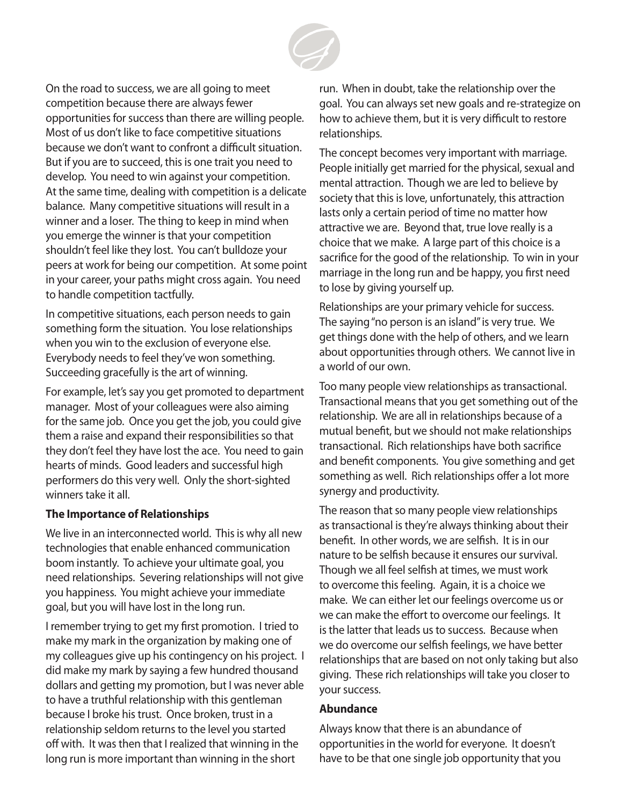

On the road to success, we are all going to meet competition because there are always fewer opportunities for success than there are willing people. Most of us don't like to face competitive situations because we don't want to confront a difficult situation. But if you are to succeed, this is one trait you need to develop. You need to win against your competition. At the same time, dealing with competition is a delicate balance. Many competitive situations will result in a winner and a loser. The thing to keep in mind when you emerge the winner is that your competition shouldn't feel like they lost. You can't bulldoze your peers at work for being our competition. At some point in your career, your paths might cross again. You need to handle competition tactfully.

In competitive situations, each person needs to gain something form the situation. You lose relationships when you win to the exclusion of everyone else. Everybody needs to feel they've won something. Succeeding gracefully is the art of winning.

For example, let's say you get promoted to department manager. Most of your colleagues were also aiming for the same job. Once you get the job, you could give them a raise and expand their responsibilities so that they don't feel they have lost the ace. You need to gain hearts of minds. Good leaders and successful high performers do this very well. Only the short-sighted winners take it all.

# **The Importance of Relationships**

We live in an interconnected world. This is why all new technologies that enable enhanced communication boom instantly. To achieve your ultimate goal, you need relationships. Severing relationships will not give you happiness. You might achieve your immediate goal, but you will have lost in the long run.

I remember trying to get my first promotion. I tried to make my mark in the organization by making one of my colleagues give up his contingency on his project. I did make my mark by saying a few hundred thousand dollars and getting my promotion, but I was never able to have a truthful relationship with this gentleman because I broke his trust. Once broken, trust in a relationship seldom returns to the level you started off with. It was then that I realized that winning in the long run is more important than winning in the short

run. When in doubt, take the relationship over the goal. You can always set new goals and re-strategize on how to achieve them, but it is very difficult to restore relationships.

The concept becomes very important with marriage. People initially get married for the physical, sexual and mental attraction. Though we are led to believe by society that this is love, unfortunately, this attraction lasts only a certain period of time no matter how attractive we are. Beyond that, true love really is a choice that we make. A large part of this choice is a sacrifice for the good of the relationship. To win in your marriage in the long run and be happy, you first need to lose by giving yourself up.

Relationships are your primary vehicle for success. The saying "no person is an island" is very true. We get things done with the help of others, and we learn about opportunities through others. We cannot live in a world of our own.

Too many people view relationships as transactional. Transactional means that you get something out of the relationship. We are all in relationships because of a mutual benefit, but we should not make relationships transactional. Rich relationships have both sacrifice and benefit components. You give something and get something as well. Rich relationships offer a lot more synergy and productivity.

The reason that so many people view relationships as transactional is they're always thinking about their benefit. In other words, we are selfish. It is in our nature to be selfish because it ensures our survival. Though we all feel selfish at times, we must work to overcome this feeling. Again, it is a choice we make. We can either let our feelings overcome us or we can make the effort to overcome our feelings. It is the latter that leads us to success. Because when we do overcome our selfish feelings, we have better relationships that are based on not only taking but also giving. These rich relationships will take you closer to your success.

#### **Abundance**

Always know that there is an abundance of opportunities in the world for everyone. It doesn't have to be that one single job opportunity that you